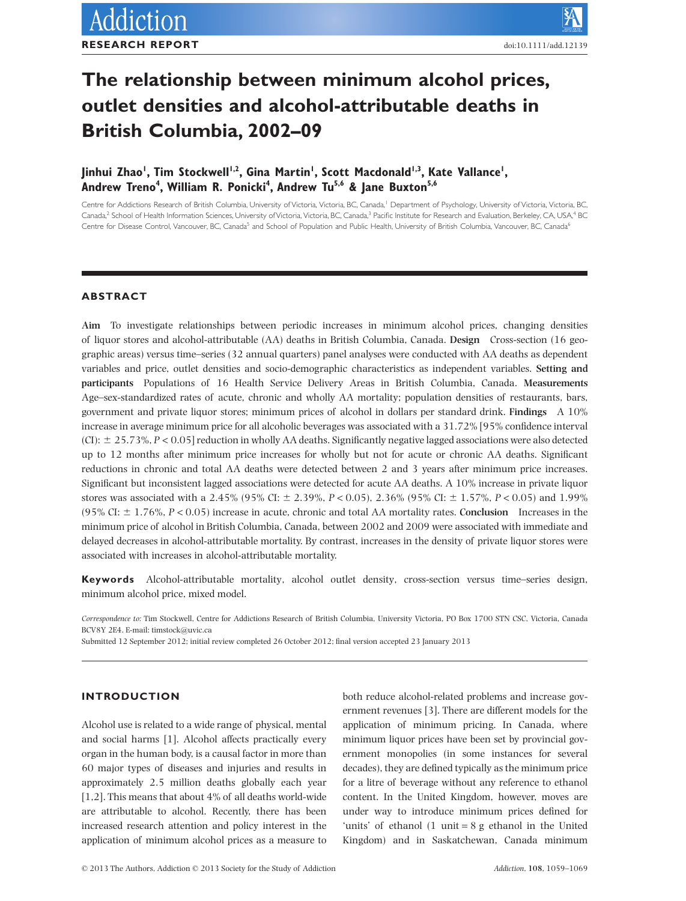# **The relationship between minimum alcohol prices, outlet densities and alcohol-attributable deaths in British Columbia, 2002–09**

# Jinhui Zhao', Tim Stockwell<sup>ı,2</sup>, Gina Martin', Scott Macdonald<sup>ı,3</sup>, Kate Vallance', **Andrew Treno4 , William R. Ponicki4 , Andrew Tu5,6 & Jane Buxton5,6**

Centre for Addictions Research of British Columbia, University of Victoria, Victoria, BC, Canada,<sup>1</sup> Department of Psychology, University of Victoria, Victoria, BC, Canada,<sup>2</sup> School of Health Information Sciences, University of Victoria, Victoria, BC, Canada,<sup>3</sup> Pacific Institute for Research and Evaluation, Berkeley, CA, USA,<sup>4</sup> BC Centre for Disease Control, Vancouver, BC, Canada<sup>5</sup> and School of Population and Public Health, University of British Columbia, Vancouver, BC, Canada<sup>6</sup>

# **ABSTRACT**

**Aim** To investigate relationships between periodic increases in minimum alcohol prices, changing densities of liquor stores and alcohol-attributable (AA) deaths in British Columbia, Canada. **Design** Cross-section (16 geographic areas) versus time–series (32 annual quarters) panel analyses were conducted with AA deaths as dependent variables and price, outlet densities and socio-demographic characteristics as independent variables. **Setting and participants** Populations of 16 Health Service Delivery Areas in British Columbia, Canada. **Measurements** Age–sex-standardized rates of acute, chronic and wholly AA mortality; population densities of restaurants, bars, government and private liquor stores; minimum prices of alcohol in dollars per standard drink. **Findings** A 10% increase in average minimum price for all alcoholic beverages was associated with a 31.72% [95% confidence interval  $(CI):$   $\pm$  25.73%,  $P < 0.05$ ] reduction in wholly AA deaths. Significantly negative lagged associations were also detected up to 12 months after minimum price increases for wholly but not for acute or chronic AA deaths. Significant reductions in chronic and total AA deaths were detected between 2 and 3 years after minimum price increases. Significant but inconsistent lagged associations were detected for acute AA deaths. A 10% increase in private liquor stores was associated with a 2.45% (95% CI:  $\pm$  2.39%, *P* < 0.05), 2.36% (95% CI:  $\pm$  1.57%, *P* < 0.05) and 1.99% (95% CI:  $\pm$  1.76%, *P* < 0.05) increase in acute, chronic and total AA mortality rates. **Conclusion** Increases in the minimum price of alcohol in British Columbia, Canada, between 2002 and 2009 were associated with immediate and delayed decreases in alcohol-attributable mortality. By contrast, increases in the density of private liquor stores were associated with increases in alcohol-attributable mortality.

**Keywords** Alcohol-attributable mortality, alcohol outlet density, cross-section versus time–series design, minimum alcohol price, mixed model.

*Correspondence to:* Tim Stockwell, Centre for Addictions Research of British Columbia, University Victoria, PO Box 1700 STN CSC, Victoria, Canada BCV8Y 2E4. E-mail: [timstock@uvic.ca](mailto:timstock@uvic.ca)

Submitted 12 September 2012; initial review completed 26 October 2012; final version accepted 23 January 2013

# **INTRODUCTION**

Alcohol use is related to a wide range of physical, mental and social harms [1]. Alcohol affects practically every organ in the human body, is a causal factor in more than 60 major types of diseases and injuries and results in approximately 2.5 million deaths globally each year [1,2]. This means that about 4% of all deaths world-wide are attributable to alcohol. Recently, there has been increased research attention and policy interest in the application of minimum alcohol prices as a measure to both reduce alcohol-related problems and increase government revenues [3]. There are different models for the application of minimum pricing. In Canada, where minimum liquor prices have been set by provincial government monopolies (in some instances for several decades), they are defined typically as the minimum price for a litre of beverage without any reference to ethanol content. In the United Kingdom, however, moves are under way to introduce minimum prices defined for 'units' of ethanol (1 unit = 8 g ethanol in the United Kingdom) and in Saskatchewan, Canada minimum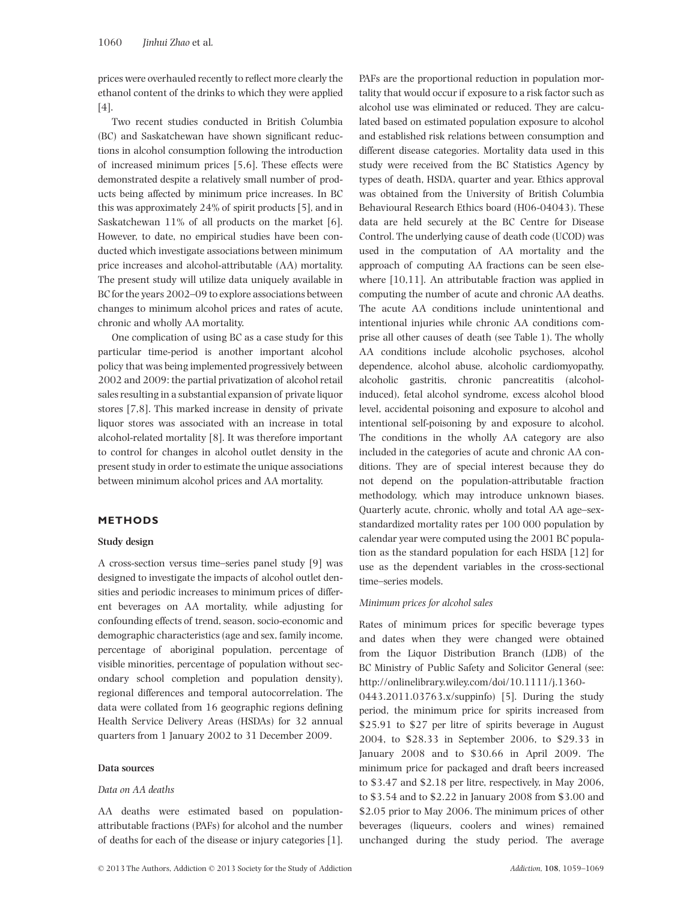prices were overhauled recently to reflect more clearly the ethanol content of the drinks to which they were applied [4].

Two recent studies conducted in British Columbia (BC) and Saskatchewan have shown significant reductions in alcohol consumption following the introduction of increased minimum prices [5,6]. These effects were demonstrated despite a relatively small number of products being affected by minimum price increases. In BC this was approximately 24% of spirit products [5], and in Saskatchewan 11% of all products on the market [6]. However, to date, no empirical studies have been conducted which investigate associations between minimum price increases and alcohol-attributable (AA) mortality. The present study will utilize data uniquely available in BC for the years 2002–09 to explore associations between changes to minimum alcohol prices and rates of acute, chronic and wholly AA mortality.

One complication of using BC as a case study for this particular time-period is another important alcohol policy that was being implemented progressively between 2002 and 2009: the partial privatization of alcohol retail sales resulting in a substantial expansion of private liquor stores [7,8]. This marked increase in density of private liquor stores was associated with an increase in total alcohol-related mortality [8]. It was therefore important to control for changes in alcohol outlet density in the present study in order to estimate the unique associations between minimum alcohol prices and AA mortality.

# **METHODS**

#### **Study design**

A cross-section versus time–series panel study [9] was designed to investigate the impacts of alcohol outlet densities and periodic increases to minimum prices of different beverages on AA mortality, while adjusting for confounding effects of trend, season, socio-economic and demographic characteristics (age and sex, family income, percentage of aboriginal population, percentage of visible minorities, percentage of population without secondary school completion and population density), regional differences and temporal autocorrelation. The data were collated from 16 geographic regions defining Health Service Delivery Areas (HSDAs) for 32 annual quarters from 1 January 2002 to 31 December 2009.

#### **Data sources**

#### *Data on AA deaths*

AA deaths were estimated based on populationattributable fractions (PAFs) for alcohol and the number of deaths for each of the disease or injury categories [1]. PAFs are the proportional reduction in population mortality that would occur if exposure to a risk factor such as alcohol use was eliminated or reduced. They are calculated based on estimated population exposure to alcohol and established risk relations between consumption and different disease categories. Mortality data used in this study were received from the BC Statistics Agency by types of death, HSDA, quarter and year. Ethics approval was obtained from the University of British Columbia Behavioural Research Ethics board (H06-04043). These data are held securely at the BC Centre for Disease Control. The underlying cause of death code (UCOD) was used in the computation of AA mortality and the approach of computing AA fractions can be seen elsewhere [10,11]. An attributable fraction was applied in computing the number of acute and chronic AA deaths. The acute AA conditions include unintentional and intentional injuries while chronic AA conditions comprise all other causes of death (see Table 1). The wholly AA conditions include alcoholic psychoses, alcohol dependence, alcohol abuse, alcoholic cardiomyopathy, alcoholic gastritis, chronic pancreatitis (alcoholinduced), fetal alcohol syndrome, excess alcohol blood level, accidental poisoning and exposure to alcohol and intentional self-poisoning by and exposure to alcohol. The conditions in the wholly AA category are also included in the categories of acute and chronic AA conditions. They are of special interest because they do not depend on the population-attributable fraction methodology, which may introduce unknown biases. Quarterly acute, chronic, wholly and total AA age–sexstandardized mortality rates per 100 000 population by calendar year were computed using the 2001 BC population as the standard population for each HSDA [12] for use as the dependent variables in the cross-sectional time–series models.

#### *Minimum prices for alcohol sales*

Rates of minimum prices for specific beverage types and dates when they were changed were obtained from the Liquor Distribution Branch (LDB) of the BC Ministry of Public Safety and Solicitor General (see: [http://onlinelibrary.wiley.com/doi/10.1111/j.1360-](http://onlinelibrary.wiley.com/doi/10.1111/j.1360-0443.2011.03763.x/suppinfo)

[0443.2011.03763.x/suppinfo\)](http://onlinelibrary.wiley.com/doi/10.1111/j.1360-0443.2011.03763.x/suppinfo) [5]. During the study period, the minimum price for spirits increased from \$25.91 to \$27 per litre of spirits beverage in August 2004, to \$28.33 in September 2006, to \$29.33 in January 2008 and to \$30.66 in April 2009. The minimum price for packaged and draft beers increased to \$3.47 and \$2.18 per litre, respectively, in May 2006, to \$3.54 and to \$2.22 in January 2008 from \$3.00 and \$2.05 prior to May 2006. The minimum prices of other beverages (liqueurs, coolers and wines) remained unchanged during the study period. The average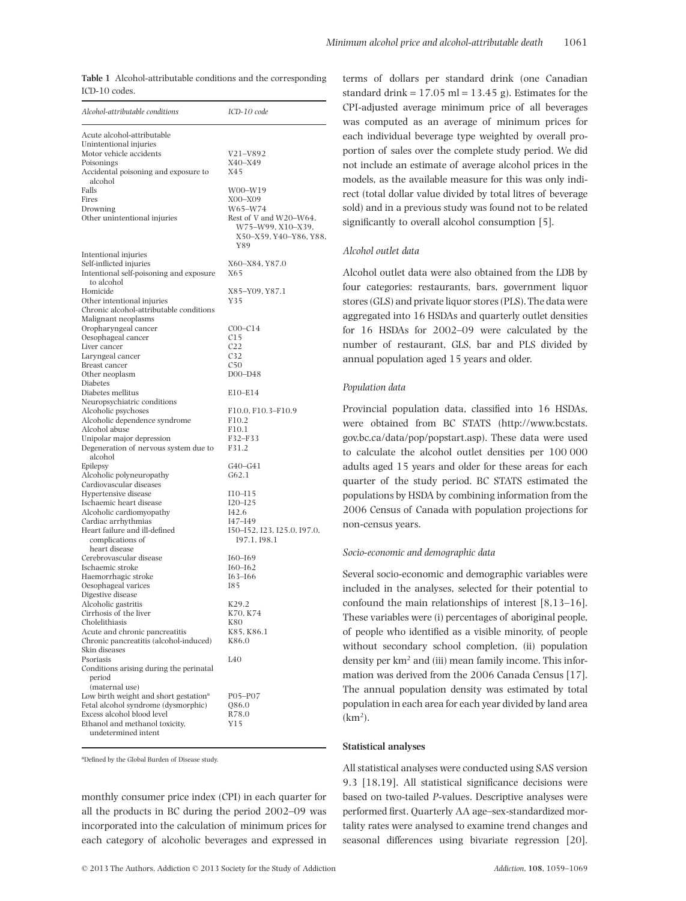|               | <b>Table 1</b> Alcohol-attributable conditions and the corresponding |  |  |
|---------------|----------------------------------------------------------------------|--|--|
| ICD-10 codes. |                                                                      |  |  |

| Alcohol-attributable conditions                       | ICD-10 code                   |
|-------------------------------------------------------|-------------------------------|
| Acute alcohol-attributable                            |                               |
| Unintentional injuries                                |                               |
| Motor vehicle accidents                               | V21–V892                      |
| Poisonings                                            | X40-X49                       |
| Accidental poisoning and exposure to<br>alcohol       | X45                           |
| Falls                                                 | W00–W19                       |
| Fires                                                 | X00-X09                       |
| Drowning                                              | W65-W74                       |
| Other unintentional injuries                          | Rest of V and W20-W64,        |
|                                                       | W75-W99, X10-X39,             |
|                                                       | X50–X59, Y40–Y86, Y88,<br>Y89 |
| Intentional injuries                                  |                               |
| Self-inflicted injuries                               | X60-X84, Y87.0                |
| Intentional self-poisoning and exposure               | X65                           |
| to alcohol                                            |                               |
| Homicide                                              | X85–Y09, Y87.1                |
| Other intentional injuries                            | Y35                           |
| Chronic alcohol-attributable conditions               |                               |
| Malignant neoplasms                                   |                               |
| Oropharyngeal cancer                                  | $COO-C14$                     |
| Oesophageal cancer                                    | C15                           |
| Liver cancer                                          | C <sub>22</sub>               |
| Laryngeal cancer                                      | C <sub>32</sub>               |
| Breast cancer                                         | C50                           |
| Other neoplasm<br>Diabetes                            | $DOO-D48$                     |
| Diabetes mellitus                                     | E10-E14                       |
| Neuropsychiatric conditions                           |                               |
| Alcoholic psychoses                                   | F10.0, F10.3-F10.9            |
| Alcoholic dependence syndrome                         | F <sub>10.2</sub>             |
| Alcohol abuse                                         | F10.1                         |
| Unipolar major depression                             | F32-F33                       |
| Degeneration of nervous system due to                 | F31.2                         |
| alcohol                                               |                               |
| Epilepsy                                              | G40-G41                       |
| Alcoholic polyneuropathy                              | G62.1                         |
| Cardiovascular diseases                               |                               |
| Hypertensive disease<br>Ischaemic heart disease       | $I10 - I15$<br>$I20 - I25$    |
| Alcoholic cardiomyopathy                              | I42.6                         |
| Cardiac arrhythmias                                   | $I47 - I49$                   |
| Heart failure and ill-defined                         | 150-152, 123, 125.0, 197.0,   |
| complications of                                      | 197.1, 198.1                  |
| heart disease                                         |                               |
| Cerebrovascular disease                               | $I60 - I69$                   |
| Ischaemic stroke                                      | $I60 - I62$                   |
| Haemorrhagic stroke                                   | $I63 - I66$                   |
| Oesophageal varices                                   | <b>I85</b>                    |
| Digestive disease                                     |                               |
| Alcoholic gastritis<br>Cirrhosis of the liver         | K29.2<br>K70, K74             |
| Cholelithiasis                                        | K80                           |
| Acute and chronic pancreatitis                        | K85, K86.1                    |
| Chronic pancreatitis (alcohol-induced)                | K86.0                         |
| Skin diseases                                         |                               |
| Psoriasis                                             | L40                           |
| Conditions arising during the perinatal               |                               |
| period                                                |                               |
| (maternal use)                                        |                               |
| Low birth weight and short gestation <sup>a</sup>     | P05–P07                       |
| Fetal alcohol syndrome (dysmorphic)                   | Q86.0                         |
| Excess alcohol blood level                            | R78.0                         |
| Ethanol and methanol toxicity,<br>undetermined intent | Y15                           |
|                                                       |                               |

<sup>a</sup>Defined by the Global Burden of Disease study.

monthly consumer price index (CPI) in each quarter for all the products in BC during the period 2002–09 was incorporated into the calculation of minimum prices for each category of alcoholic beverages and expressed in

terms of dollars per standard drink (one Canadian standard drink =  $17.05$  ml =  $13.45$  g). Estimates for the CPI-adjusted average minimum price of all beverages was computed as an average of minimum prices for each individual beverage type weighted by overall proportion of sales over the complete study period. We did not include an estimate of average alcohol prices in the models, as the available measure for this was only indirect (total dollar value divided by total litres of beverage sold) and in a previous study was found not to be related significantly to overall alcohol consumption [5].

#### *Alcohol outlet data*

Alcohol outlet data were also obtained from the LDB by four categories: restaurants, bars, government liquor stores (GLS) and private liquor stores (PLS). The data were aggregated into 16 HSDAs and quarterly outlet densities for 16 HSDAs for 2002–09 were calculated by the number of restaurant, GLS, bar and PLS divided by annual population aged 15 years and older.

#### *Population data*

Provincial population data, classified into 16 HSDAs, were obtained from BC STATS [\(http://www.bcstats.](http://www.bcstats.gov.bc.ca/data/pop/popstart.asp) [gov.bc.ca/data/pop/popstart.asp\)](http://www.bcstats.gov.bc.ca/data/pop/popstart.asp). These data were used to calculate the alcohol outlet densities per 100 000 adults aged 15 years and older for these areas for each quarter of the study period. BC STATS estimated the populations by HSDA by combining information from the 2006 Census of Canada with population projections for non-census years.

#### *Socio-economic and demographic data*

Several socio-economic and demographic variables were included in the analyses, selected for their potential to confound the main relationships of interest [8,13–16]. These variables were (i) percentages of aboriginal people, of people who identified as a visible minority, of people without secondary school completion, (ii) population density per  $km^2$  and (iii) mean family income. This information was derived from the 2006 Canada Census [17]. The annual population density was estimated by total population in each area for each year divided by land area  $(km<sup>2</sup>)$ .

#### **Statistical analyses**

All statistical analyses were conducted using SAS version 9.3 [18,19]. All statistical significance decisions were based on two-tailed *P*-values. Descriptive analyses were performed first. Quarterly AA age–sex-standardized mortality rates were analysed to examine trend changes and seasonal differences using bivariate regression [20].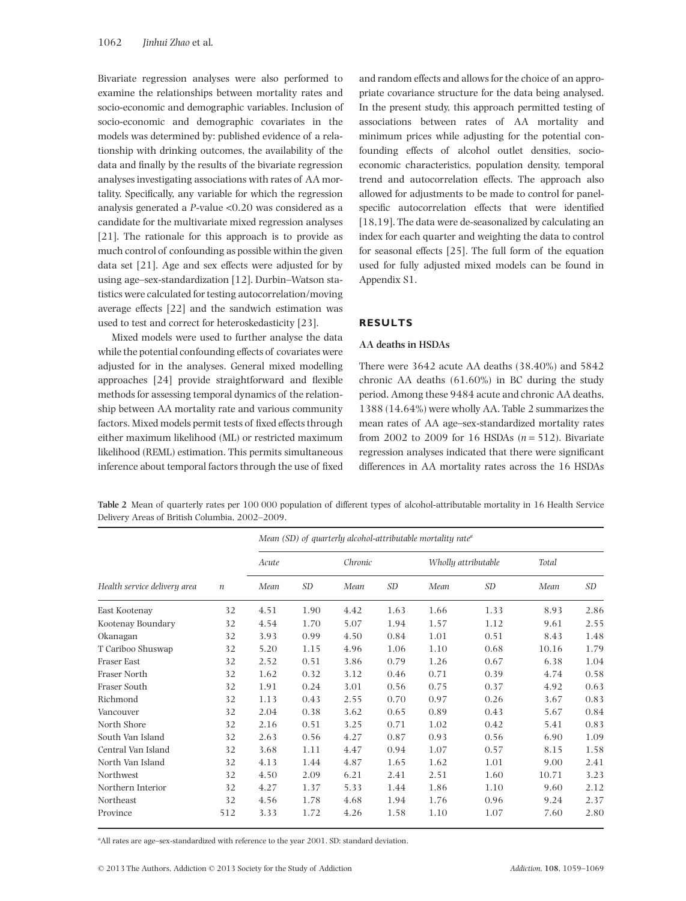Bivariate regression analyses were also performed to examine the relationships between mortality rates and socio-economic and demographic variables. Inclusion of socio-economic and demographic covariates in the models was determined by: published evidence of a relationship with drinking outcomes, the availability of the data and finally by the results of the bivariate regression analyses investigating associations with rates of AA mortality. Specifically, any variable for which the regression analysis generated a *P*-value <0.20 was considered as a candidate for the multivariate mixed regression analyses [21]. The rationale for this approach is to provide as much control of confounding as possible within the given data set [21]. Age and sex effects were adjusted for by using age–sex-standardization [12]. Durbin–Watson statistics were calculated for testing autocorrelation/moving average effects [22] and the sandwich estimation was used to test and correct for heteroskedasticity [23].

Mixed models were used to further analyse the data while the potential confounding effects of covariates were adjusted for in the analyses. General mixed modelling approaches [24] provide straightforward and flexible methods for assessing temporal dynamics of the relationship between AA mortality rate and various community factors. Mixed models permit tests of fixed effects through either maximum likelihood (ML) or restricted maximum likelihood (REML) estimation. This permits simultaneous inference about temporal factors through the use of fixed and random effects and allows for the choice of an appropriate covariance structure for the data being analysed. In the present study, this approach permitted testing of associations between rates of AA mortality and minimum prices while adjusting for the potential confounding effects of alcohol outlet densities, socioeconomic characteristics, population density, temporal trend and autocorrelation effects. The approach also allowed for adjustments to be made to control for panelspecific autocorrelation effects that were identified [18,19]. The data were de-seasonalized by calculating an index for each quarter and weighting the data to control for seasonal effects [25]. The full form of the equation used for fully adjusted mixed models can be found in Appendix S1.

#### **RESULTS**

#### **AA deaths in HSDAs**

There were 3642 acute AA deaths (38.40%) and 5842 chronic AA deaths (61.60%) in BC during the study period. Among these 9484 acute and chronic AA deaths, 1388 (14.64%) were wholly AA. Table 2 summarizes the mean rates of AA age–sex-standardized mortality rates from 2002 to 2009 for 16 HSDAs  $(n = 512)$ . Bivariate regression analyses indicated that there were significant differences in AA mortality rates across the 16 HSDAs

**Table 2** Mean of quarterly rates per 100 000 population of different types of alcohol-attributable mortality in 16 Health Service Delivery Areas of British Columbia, 2002–2009.

|                              |                  | Mean (SD) of quarterly alcohol-attributable mortality rate <sup>a</sup> |      |         |      |                     |      |       |      |
|------------------------------|------------------|-------------------------------------------------------------------------|------|---------|------|---------------------|------|-------|------|
|                              |                  | Acute                                                                   |      | Chronic |      | Wholly attributable |      | Total |      |
| Health service delivery area | $\boldsymbol{n}$ | Mean                                                                    | SD   | Mean    | SD   | Mean                | SD   | Mean  | SD   |
| East Kootenay                | 32               | 4.51                                                                    | 1.90 | 4.42    | 1.63 | 1.66                | 1.33 | 8.93  | 2.86 |
| Kootenay Boundary            | 32               | 4.54                                                                    | 1.70 | 5.07    | 1.94 | 1.57                | 1.12 | 9.61  | 2.55 |
| Okanagan                     | 32               | 3.93                                                                    | 0.99 | 4.50    | 0.84 | 1.01                | 0.51 | 8.43  | 1.48 |
| T Cariboo Shuswap            | 32               | 5.20                                                                    | 1.15 | 4.96    | 1.06 | 1.10                | 0.68 | 10.16 | 1.79 |
| Fraser East                  | 32               | 2.52                                                                    | 0.51 | 3.86    | 0.79 | 1.26                | 0.67 | 6.38  | 1.04 |
| Fraser North                 | 32               | 1.62                                                                    | 0.32 | 3.12    | 0.46 | 0.71                | 0.39 | 4.74  | 0.58 |
| Fraser South                 | 32               | 1.91                                                                    | 0.24 | 3.01    | 0.56 | 0.75                | 0.37 | 4.92  | 0.63 |
| Richmond                     | 32               | 1.13                                                                    | 0.43 | 2.55    | 0.70 | 0.97                | 0.26 | 3.67  | 0.83 |
| Vancouver                    | 32               | 2.04                                                                    | 0.38 | 3.62    | 0.65 | 0.89                | 0.43 | 5.67  | 0.84 |
| North Shore                  | 32               | 2.16                                                                    | 0.51 | 3.25    | 0.71 | 1.02                | 0.42 | 5.41  | 0.83 |
| South Van Island             | 32               | 2.63                                                                    | 0.56 | 4.27    | 0.87 | 0.93                | 0.56 | 6.90  | 1.09 |
| Central Van Island           | 32               | 3.68                                                                    | 1.11 | 4.47    | 0.94 | 1.07                | 0.57 | 8.15  | 1.58 |
| North Van Island             | 32               | 4.13                                                                    | 1.44 | 4.87    | 1.65 | 1.62                | 1.01 | 9.00  | 2.41 |
| Northwest                    | 32               | 4.50                                                                    | 2.09 | 6.21    | 2.41 | 2.51                | 1.60 | 10.71 | 3.23 |
| Northern Interior            | 32               | 4.27                                                                    | 1.37 | 5.33    | 1.44 | 1.86                | 1.10 | 9.60  | 2.12 |
| Northeast                    | 32               | 4.56                                                                    | 1.78 | 4.68    | 1.94 | 1.76                | 0.96 | 9.24  | 2.37 |
| Province                     | 512              | 3.33                                                                    | 1.72 | 4.26    | 1.58 | 1.10                | 1.07 | 7.60  | 2.80 |

<sup>a</sup> All rates are age-sex-standardized with reference to the year 2001. SD: standard deviation.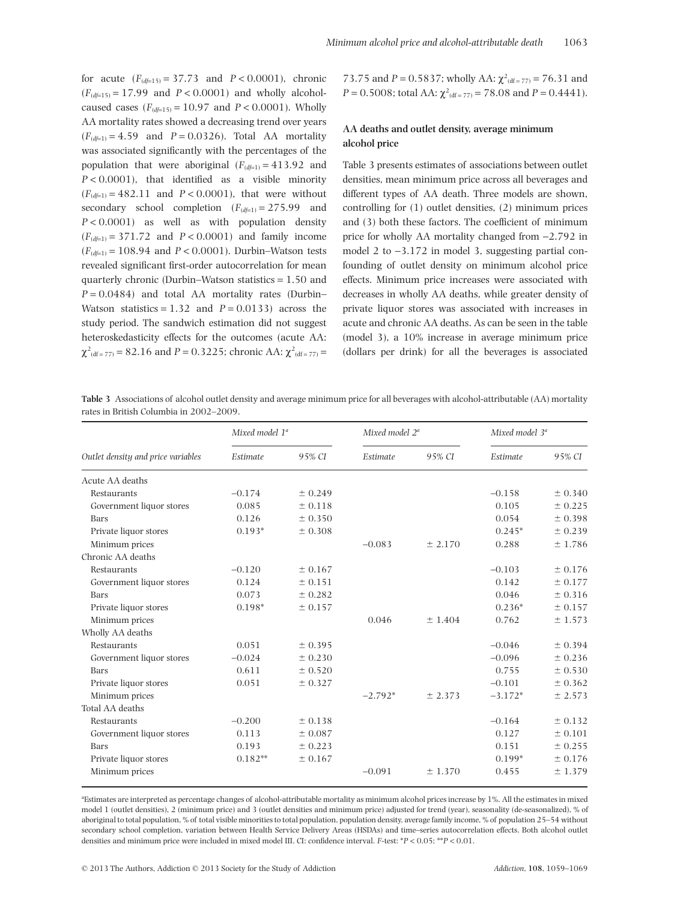for acute  $(F_{(d_f=15)} = 37.73$  and  $P < 0.0001$ ), chronic  $(F_{(d=15)} = 17.99$  and  $P < 0.0001$ ) and wholly alcoholcaused cases  $(F_{(d=15)} = 10.97$  and  $P < 0.0001$ ). Wholly AA mortality rates showed a decreasing trend over years  $(F_{(d_f=1)} = 4.59$  and  $P = 0.0326$ ). Total AA mortality was associated significantly with the percentages of the population that were aboriginal  $(F_{(d_f=1)} = 413.92$  and *P* < 0.0001), that identified as a visible minority  $(F_{(d \neq 1)} = 482.11$  and  $P < 0.0001$ ), that were without secondary school completion  $(F_{(d_f=1)} = 275.99$  and *P* < 0.0001) as well as with population density  $(F_{(d_f=1)} = 371.72$  and  $P < 0.0001$ ) and family income  $(F_{(d_f=1)} = 108.94$  and  $P < 0.0001$ ). Durbin–Watson tests revealed significant first-order autocorrelation for mean quarterly chronic (Durbin–Watson statistics  $= 1.50$  and  $P = 0.0484$ ) and total AA mortality rates (Durbin– Watson statistics =  $1.32$  and  $P = 0.0133$  across the study period. The sandwich estimation did not suggest heteroskedasticity effects for the outcomes (acute AA:  $\chi^2$ <sub>(df = 77)</sub> = 82.16 and *P* = 0.3225; chronic AA:  $\chi^2$ <sub>(df = 77)</sub> =

73.75 and *P* = 0.5837; wholly AA:  $\chi^2$ <sub>(df = 77)</sub> = 76.31 and *P* = 0.5008; total AA:  $\chi^2$ <sub>(df = 77)</sub> = 78.08 and *P* = 0.4441).

# **AA deaths and outlet density, average minimum alcohol price**

Table 3 presents estimates of associations between outlet densities, mean minimum price across all beverages and different types of AA death. Three models are shown, controlling for (1) outlet densities, (2) minimum prices and (3) both these factors. The coefficient of minimum price for wholly AA mortality changed from -2.792 in model 2 to  $-3.172$  in model 3, suggesting partial confounding of outlet density on minimum alcohol price effects. Minimum price increases were associated with decreases in wholly AA deaths, while greater density of private liquor stores was associated with increases in acute and chronic AA deaths. As can be seen in the table (model 3), a 10% increase in average minimum price (dollars per drink) for all the beverages is associated

**Table 3** Associations of alcohol outlet density and average minimum price for all beverages with alcohol-attributable (AA) mortality rates in British Columbia in 2002–2009.

|                                    | Mixed model 1 <sup>a</sup> |         | Mixed model 2 <sup>a</sup> |         | Mixed model 3 <sup>a</sup> |         |
|------------------------------------|----------------------------|---------|----------------------------|---------|----------------------------|---------|
| Outlet density and price variables | Estimate                   | 95% CI  | Estimate                   | 95% CI  | Estimate                   | 95% CI  |
| Acute AA deaths                    |                            |         |                            |         |                            |         |
| Restaurants                        | $-0.174$                   | ± 0.249 |                            |         | $-0.158$                   | ± 0.340 |
| Government liquor stores           | 0.085                      | ± 0.118 |                            |         | 0.105                      | ± 0.225 |
| Bars                               | 0.126                      | ± 0.350 |                            |         | 0.054                      | ± 0.398 |
| Private liquor stores              | $0.193*$                   | ± 0.308 |                            |         | $0.245*$                   | ± 0.239 |
| Minimum prices                     |                            |         | $-0.083$                   | ± 2.170 | 0.288                      | ± 1.786 |
| Chronic AA deaths                  |                            |         |                            |         |                            |         |
| Restaurants                        | $-0.120$                   | ± 0.167 |                            |         | $-0.103$                   | ± 0.176 |
| Government liquor stores           | 0.124                      | ± 0.151 |                            |         | 0.142                      | ± 0.177 |
| Bars                               | 0.073                      | ± 0.282 |                            |         | 0.046                      | ± 0.316 |
| Private liquor stores              | $0.198*$                   | ± 0.157 |                            |         | $0.236*$                   | ± 0.157 |
| Minimum prices                     |                            |         | 0.046                      | ± 1.404 | 0.762                      | ± 1.573 |
| Wholly AA deaths                   |                            |         |                            |         |                            |         |
| Restaurants                        | 0.051                      | ± 0.395 |                            |         | $-0.046$                   | ± 0.394 |
| Government liquor stores           | $-0.024$                   | ± 0.230 |                            |         | $-0.096$                   | ± 0.236 |
| Bars                               | 0.611                      | ± 0.520 |                            |         | 0.755                      | ± 0.530 |
| Private liquor stores              | 0.051                      | ± 0.327 |                            |         | $-0.101$                   | ± 0.362 |
| Minimum prices                     |                            |         | $-2.792*$                  | ± 2.373 | $-3.172*$                  | ± 2.573 |
| Total AA deaths                    |                            |         |                            |         |                            |         |
| Restaurants                        | $-0.200$                   | ± 0.138 |                            |         | $-0.164$                   | ± 0.132 |
| Government liquor stores           | 0.113                      | ± 0.087 |                            |         | 0.127                      | ± 0.101 |
| Bars                               | 0.193                      | ± 0.223 |                            |         | 0.151                      | ± 0.255 |
| Private liquor stores              | $0.182**$                  | ± 0.167 |                            |         | $0.199*$                   | ± 0.176 |
| Minimum prices                     |                            |         | $-0.091$                   | ± 1.370 | 0.455                      | ± 1.379 |

a Estimates are interpreted as percentage changes of alcohol-attributable mortality as minimum alcohol prices increase by 1%. All the estimates in mixed model 1 (outlet densities), 2 (minimum price) and 3 (outlet densities and minimum price) adjusted for trend (year), seasonality (de-seasonalized), % of aboriginal to total population, % of total visible minorities to total population, population density, average family income, % of population 25–54 without secondary school completion, variation between Health Service Delivery Areas (HSDAs) and time–series autocorrelation effects. Both alcohol outlet densities and minimum price were included in mixed model III. CI: confidence interval. *F*-test: \**P* < 0.05; \*\**P* < 0.01.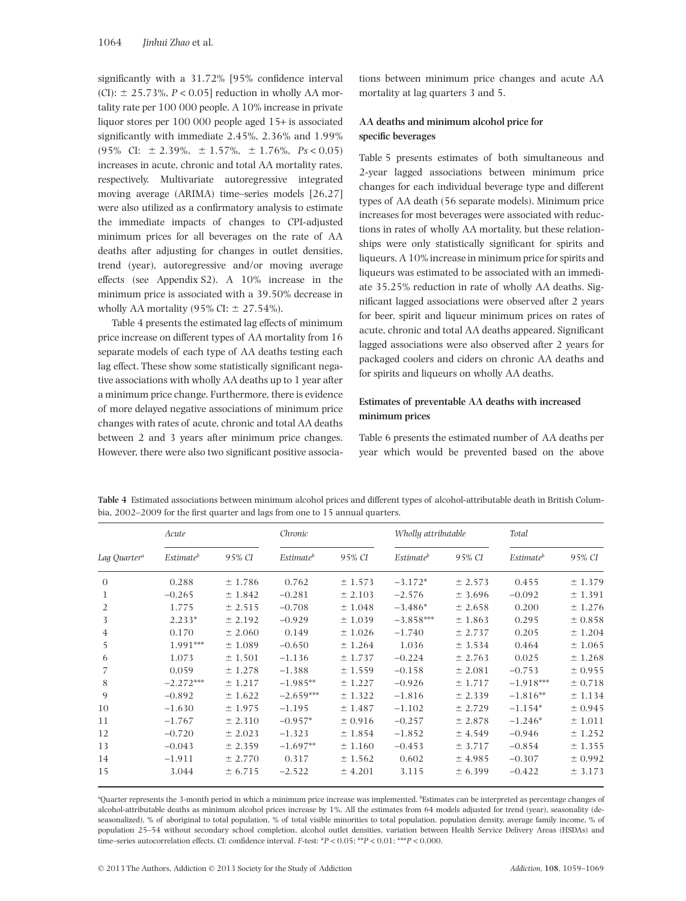significantly with a 31.72% [95% confidence interval  $(CI):$   $\pm$  25.73%,  $P < 0.05$ ] reduction in wholly AA mortality rate per 100 000 people. A 10% increase in private liquor stores per 100 000 people aged 15+ is associated significantly with immediate 2.45%, 2.36% and 1.99%  $(95\% \text{ CI: } \pm 2.39\%, \pm 1.57\%, \pm 1.76\%, \text{Ps} < 0.05)$ increases in acute, chronic and total AA mortality rates, respectively. Multivariate autoregressive integrated moving average (ARIMA) time–series models [26,27] were also utilized as a confirmatory analysis to estimate the immediate impacts of changes to CPI-adjusted minimum prices for all beverages on the rate of AA deaths after adjusting for changes in outlet densities, trend (year), autoregressive and/or moving average effects (see Appendix S2). A 10% increase in the minimum price is associated with a 39.50% decrease in wholly AA mortality  $(95\% \text{ CI: } \pm 27.54\%).$ 

Table 4 presents the estimated lag effects of minimum price increase on different types of AA mortality from 16 separate models of each type of AA deaths testing each lag effect. These show some statistically significant negative associations with wholly AA deaths up to 1 year after a minimum price change. Furthermore, there is evidence of more delayed negative associations of minimum price changes with rates of acute, chronic and total AA deaths between 2 and 3 years after minimum price changes. However, there were also two significant positive associations between minimum price changes and acute AA mortality at lag quarters 3 and 5.

# **AA deaths and minimum alcohol price for specific beverages**

Table 5 presents estimates of both simultaneous and 2-year lagged associations between minimum price changes for each individual beverage type and different types of AA death (56 separate models). Minimum price increases for most beverages were associated with reductions in rates of wholly AA mortality, but these relationships were only statistically significant for spirits and liqueurs. A 10% increase in minimum price for spirits and liqueurs was estimated to be associated with an immediate 35.25% reduction in rate of wholly AA deaths. Significant lagged associations were observed after 2 years for beer, spirit and liqueur minimum prices on rates of acute, chronic and total AA deaths appeared. Significant lagged associations were also observed after 2 years for packaged coolers and ciders on chronic AA deaths and for spirits and liqueurs on wholly AA deaths.

# **Estimates of preventable AA deaths with increased minimum prices**

Table 6 presents the estimated number of AA deaths per year which would be prevented based on the above

| Lag Quarter <sup>a</sup> | Acute                        |         | Chronic                      |         | Wholly attributable          |         | Total                        |         |
|--------------------------|------------------------------|---------|------------------------------|---------|------------------------------|---------|------------------------------|---------|
|                          | <i>Estimate</i> <sup>b</sup> | 95% CI  | <i>Estimate</i> <sup>b</sup> | 95% CI  | <i>Estimate</i> <sup>b</sup> | 95% CI  | <i>Estimate</i> <sup>b</sup> | 95% CI  |
| $\theta$                 | 0.288                        | ± 1.786 | 0.762                        | ± 1.573 | $-3.172*$                    | ± 2.573 | 0.455                        | ± 1.379 |
| 1                        | $-0.265$                     | ± 1.842 | $-0.281$                     | ± 2.103 | $-2.576$                     | ± 3.696 | $-0.092$                     | ± 1.391 |
| 2                        | 1.775                        | ± 2.515 | $-0.708$                     | ±1.048  | $-3.486*$                    | ± 2.658 | 0.200                        | ± 1.276 |
| 3                        | $2.233*$                     | ± 2.192 | $-0.929$                     | ± 1.039 | $-3.858***$                  | ± 1.863 | 0.295                        | ± 0.858 |
| $\overline{4}$           | 0.170                        | ± 2.060 | 0.149                        | ± 1.026 | $-1.740$                     | ± 2.737 | 0.205                        | ± 1.204 |
| 5                        | 1.991***                     | ± 1.089 | $-0.650$                     | ± 1.264 | 1.036                        | ± 3.534 | 0.464                        | ± 1.065 |
| 6                        | 1.073                        | ±1.501  | $-1.136$                     | ± 1.737 | $-0.224$                     | ± 2.763 | 0.025                        | ± 1.268 |
| 7                        | 0.059                        | ± 1.278 | $-1.388$                     | ± 1.559 | $-0.158$                     | ± 2.081 | $-0.753$                     | ± 0.955 |
| 8                        | $-2.272***$                  | ± 1.217 | $-1.985**$                   | ± 1.227 | $-0.926$                     | ± 1.717 | $-1.918***$                  | ± 0.718 |
| 9                        | $-0.892$                     | ± 1.622 | $-2.659***$                  | ± 1.322 | $-1.816$                     | ± 2.339 | $-1.816**$                   | ± 1.134 |
| 10                       | $-1.630$                     | ± 1.975 | $-1.195$                     | ± 1.487 | $-1.102$                     | ± 2.729 | $-1.154*$                    | ± 0.945 |
| 11                       | $-1.767$                     | ± 2.310 | $-0.957*$                    | ± 0.916 | $-0.257$                     | ± 2.878 | $-1.246*$                    | ± 1.011 |
| 12                       | $-0.720$                     | ± 2.023 | $-1.323$                     | ± 1.854 | $-1.852$                     | ± 4.549 | $-0.946$                     | ± 1.252 |
| 13                       | $-0.043$                     | ± 2.359 | $-1.697**$                   | ± 1.160 | $-0.453$                     | ± 3.717 | $-0.854$                     | ± 1.355 |
| 14                       | $-1.911$                     | ± 2.770 | 0.317                        | ± 1.562 | 0.602                        | ± 4.985 | $-0.307$                     | ± 0.992 |
| 15                       | 3.044                        | ± 6.715 | $-2.522$                     | ± 4.201 | 3.115                        | ± 6.399 | $-0.422$                     | ± 3.173 |

**Table 4** Estimated associations between minimum alcohol prices and different types of alcohol-attributable death in British Columbia, 2002–2009 for the first quarter and lags from one to 15 annual quarters.

<sup>a</sup>Quarter represents the 3-month period in which a minimum price increase was implemented. **Extimates can be interpreted as percentage changes of** alcohol-attributable deaths as minimum alcohol prices increase by 1%. All the estimates from 64 models adjusted for trend (year), seasonality (deseasonalized), % of aboriginal to total population, % of total visible minorities to total population, population density, average family income, % of population 25–54 without secondary school completion, alcohol outlet densities, variation between Health Service Delivery Areas (HSDAs) and time–series autocorrelation effects. CI: confidence interval. *F*-test: \**P* < 0.05; \*\**P* < 0.01; \*\*\**P* < 0.000.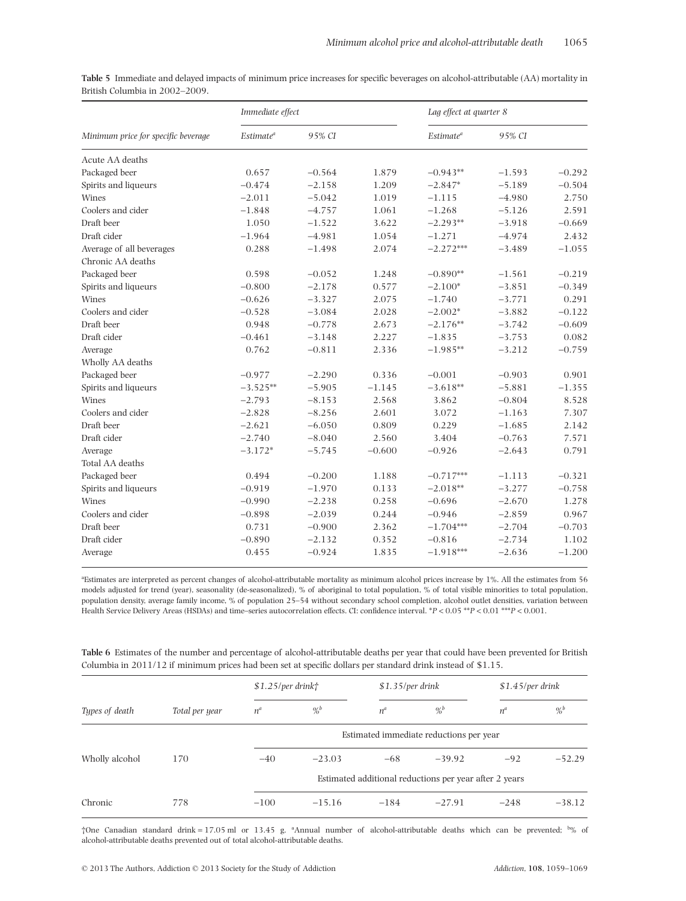**Table 5** Immediate and delayed impacts of minimum price increases for specific beverages on alcohol-attributable (AA) mortality in British Columbia in 2002–2009.

|                                     | Immediate effect |          |          |                       | Lag effect at quarter 8 |          |  |
|-------------------------------------|------------------|----------|----------|-----------------------|-------------------------|----------|--|
| Minimum price for specific beverage | $Estimate^a$     | 95% CI   |          | Estimate <sup>a</sup> | 95% CI                  |          |  |
| Acute AA deaths                     |                  |          |          |                       |                         |          |  |
| Packaged beer                       | 0.657            | $-0.564$ | 1.879    | $-0.943**$            | $-1.593$                | $-0.292$ |  |
| Spirits and liqueurs                | $-0.474$         | $-2.158$ | 1.209    | $-2.847*$             | $-5.189$                | $-0.504$ |  |
| Wines                               | $-2.011$         | $-5.042$ | 1.019    | $-1.115$              | $-4.980$                | 2.750    |  |
| Coolers and cider                   | $-1.848$         | $-4.757$ | 1.061    | $-1.268$              | $-5.126$                | 2.591    |  |
| Draft beer                          | 1.050            | $-1.522$ | 3.622    | $-2.293**$            | $-3.918$                | $-0.669$ |  |
| Draft cider                         | $-1.964$         | $-4.981$ | 1.054    | $-1.271$              | $-4.974$                | 2.432    |  |
| Average of all beverages            | 0.288            | $-1.498$ | 2.074    | $-2.272***$           | $-3.489$                | $-1.055$ |  |
| Chronic AA deaths                   |                  |          |          |                       |                         |          |  |
| Packaged beer                       | 0.598            | $-0.052$ | 1.248    | $-0.890**$            | $-1.561$                | $-0.219$ |  |
| Spirits and liqueurs                | $-0.800$         | $-2.178$ | 0.577    | $-2.100*$             | $-3.851$                | $-0.349$ |  |
| Wines                               | $-0.626$         | $-3.327$ | 2.075    | $-1.740$              | $-3.771$                | 0.291    |  |
| Coolers and cider                   | $-0.528$         | $-3.084$ | 2.028    | $-2.002*$             | $-3.882$                | $-0.122$ |  |
| Draft beer                          | 0.948            | $-0.778$ | 2.673    | $-2.176**$            | $-3.742$                | $-0.609$ |  |
| Draft cider                         | $-0.461$         | $-3.148$ | 2.227    | $-1.835$              | $-3.753$                | 0.082    |  |
| Average                             | 0.762            | $-0.811$ | 2.336    | $-1.985**$            | $-3.212$                | $-0.759$ |  |
| Wholly AA deaths                    |                  |          |          |                       |                         |          |  |
| Packaged beer                       | $-0.977$         | $-2.290$ | 0.336    | $-0.001$              | $-0.903$                | 0.901    |  |
| Spirits and liqueurs                | $-3.525**$       | $-5.905$ | $-1.145$ | $-3.618**$            | $-5.881$                | $-1.355$ |  |
| Wines                               | $-2.793$         | $-8.153$ | 2.568    | 3.862                 | $-0.804$                | 8.528    |  |
| Coolers and cider                   | $-2.828$         | $-8.256$ | 2.601    | 3.072                 | $-1.163$                | 7.307    |  |
| Draft beer                          | $-2.621$         | $-6.050$ | 0.809    | 0.229                 | $-1.685$                | 2.142    |  |
| Draft cider                         | $-2.740$         | $-8.040$ | 2.560    | 3.404                 | $-0.763$                | 7.571    |  |
| Average                             | $-3.172*$        | $-5.745$ | $-0.600$ | $-0.926$              | $-2.643$                | 0.791    |  |
| Total AA deaths                     |                  |          |          |                       |                         |          |  |
| Packaged beer                       | 0.494            | $-0.200$ | 1.188    | $-0.717***$           | $-1.113$                | $-0.321$ |  |
| Spirits and liqueurs                | $-0.919$         | $-1.970$ | 0.133    | $-2.018**$            | $-3.277$                | $-0.758$ |  |
| Wines                               | $-0.990$         | $-2.238$ | 0.258    | $-0.696$              | $-2.670$                | 1.278    |  |
| Coolers and cider                   | $-0.898$         | $-2.039$ | 0.244    | $-0.946$              | $-2.859$                | 0.967    |  |
| Draft beer                          | 0.731            | $-0.900$ | 2.362    | $-1.704***$           | $-2.704$                | $-0.703$ |  |
| Draft cider                         | $-0.890$         | $-2.132$ | 0.352    | $-0.816$              | $-2.734$                | 1.102    |  |
| Average                             | 0.455            | $-0.924$ | 1.835    | $-1.918***$           | $-2.636$                | $-1.200$ |  |

a Estimates are interpreted as percent changes of alcohol-attributable mortality as minimum alcohol prices increase by 1%. All the estimates from 56 models adjusted for trend (year), seasonality (de-seasonalized), % of aboriginal to total population, % of total visible minorities to total population, population density, average family income, % of population 25–54 without secondary school completion, alcohol outlet densities, variation between Health Service Delivery Areas (HSDAs) and time–series autocorrelation effects. CI: confidence interval. \**P* < 0.05 \*\**P* < 0.01 \*\*\**P* < 0.001.

| Table 6 Estimates of the number and percentage of alcohol-attributable deaths per year that could have been prevented for British |
|-----------------------------------------------------------------------------------------------------------------------------------|
| Columbia in 2011/12 if minimum prices had been set at specific dollars per standard drink instead of \$1.15.                      |

|                | Total per year | \$1.25/per drift                        |               | $$1.35/per$ drink |                                                        | $$1.45/per$ drink |               |
|----------------|----------------|-----------------------------------------|---------------|-------------------|--------------------------------------------------------|-------------------|---------------|
| Types of death |                | $n^a$                                   | $\frac{9}{6}$ | $n^a$             | $\frac{9}{6}$                                          | $n^a$             | $\frac{9}{6}$ |
|                |                | Estimated immediate reductions per year |               |                   |                                                        |                   |               |
| Wholly alcohol | 170            | $-40$                                   | $-23.03$      | $-68$             | $-39.92$                                               | $-92$             | $-52.29$      |
|                |                |                                         |               |                   | Estimated additional reductions per year after 2 years |                   |               |
| Chronic        | 778            | $-100$                                  | $-15.16$      | $-184$            | $-27.91$                                               | $-248$            | $-38.12$      |

†One Canadian standard drink = 17.05 ml or 13.45 g. <sup>a</sup> Annual number of alcohol-attributable deaths which can be prevented; <sup>b</sup> % of alcohol-attributable deaths prevented out of total alcohol-attributable deaths.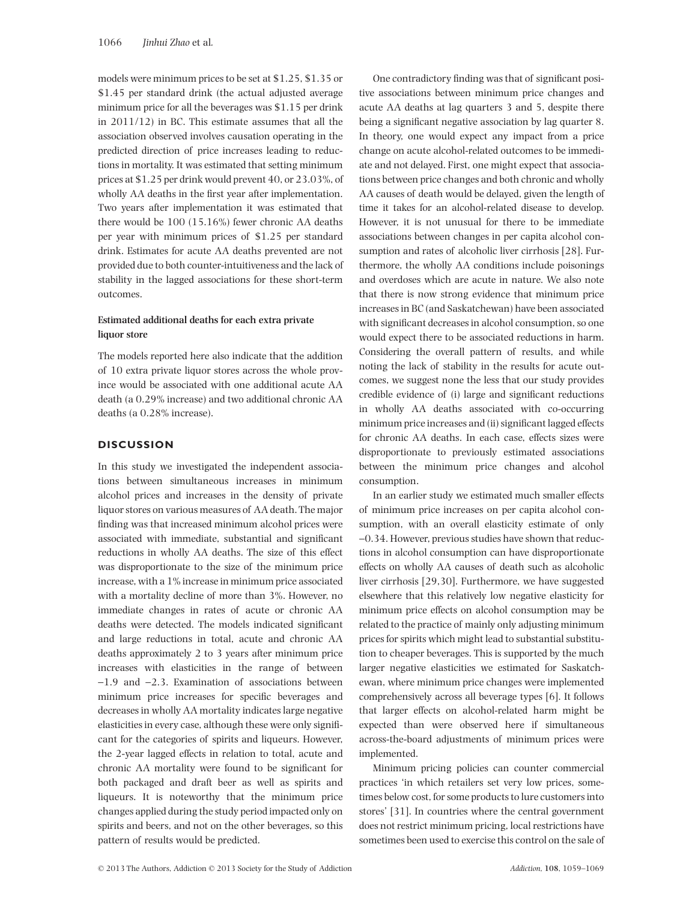models were minimum prices to be set at \$1.25, \$1.35 or \$1.45 per standard drink (the actual adjusted average minimum price for all the beverages was \$1.15 per drink in 2011/12) in BC. This estimate assumes that all the association observed involves causation operating in the predicted direction of price increases leading to reductions in mortality. It was estimated that setting minimum prices at \$1.25 per drink would prevent 40, or 23.03%, of wholly AA deaths in the first year after implementation. Two years after implementation it was estimated that there would be 100 (15.16%) fewer chronic AA deaths per year with minimum prices of \$1.25 per standard drink. Estimates for acute AA deaths prevented are not provided due to both counter-intuitiveness and the lack of stability in the lagged associations for these short-term outcomes.

# **Estimated additional deaths for each extra private liquor store**

The models reported here also indicate that the addition of 10 extra private liquor stores across the whole province would be associated with one additional acute AA death (a 0.29% increase) and two additional chronic AA deaths (a 0.28% increase).

## **DISCUSSION**

In this study we investigated the independent associations between simultaneous increases in minimum alcohol prices and increases in the density of private liquor stores on various measures of AA death. The major finding was that increased minimum alcohol prices were associated with immediate, substantial and significant reductions in wholly AA deaths. The size of this effect was disproportionate to the size of the minimum price increase, with a 1% increase in minimum price associated with a mortality decline of more than 3%. However, no immediate changes in rates of acute or chronic AA deaths were detected. The models indicated significant and large reductions in total, acute and chronic AA deaths approximately 2 to 3 years after minimum price increases with elasticities in the range of between  $-1.9$  and  $-2.3$ . Examination of associations between minimum price increases for specific beverages and decreases in wholly AA mortality indicates large negative elasticities in every case, although these were only significant for the categories of spirits and liqueurs. However, the 2-year lagged effects in relation to total, acute and chronic AA mortality were found to be significant for both packaged and draft beer as well as spirits and liqueurs. It is noteworthy that the minimum price changes applied during the study period impacted only on spirits and beers, and not on the other beverages, so this pattern of results would be predicted.

One contradictory finding was that of significant positive associations between minimum price changes and acute AA deaths at lag quarters 3 and 5, despite there being a significant negative association by lag quarter 8. In theory, one would expect any impact from a price change on acute alcohol-related outcomes to be immediate and not delayed. First, one might expect that associations between price changes and both chronic and wholly AA causes of death would be delayed, given the length of time it takes for an alcohol-related disease to develop. However, it is not unusual for there to be immediate associations between changes in per capita alcohol consumption and rates of alcoholic liver cirrhosis [28]. Furthermore, the wholly AA conditions include poisonings and overdoses which are acute in nature. We also note that there is now strong evidence that minimum price increases in BC (and Saskatchewan) have been associated with significant decreases in alcohol consumption, so one would expect there to be associated reductions in harm. Considering the overall pattern of results, and while noting the lack of stability in the results for acute outcomes, we suggest none the less that our study provides credible evidence of (i) large and significant reductions in wholly AA deaths associated with co-occurring minimum price increases and (ii) significant lagged effects for chronic AA deaths. In each case, effects sizes were disproportionate to previously estimated associations between the minimum price changes and alcohol consumption.

In an earlier study we estimated much smaller effects of minimum price increases on per capita alcohol consumption, with an overall elasticity estimate of only -0.34. However, previous studies have shown that reductions in alcohol consumption can have disproportionate effects on wholly AA causes of death such as alcoholic liver cirrhosis [29,30]. Furthermore, we have suggested elsewhere that this relatively low negative elasticity for minimum price effects on alcohol consumption may be related to the practice of mainly only adjusting minimum prices for spirits which might lead to substantial substitution to cheaper beverages. This is supported by the much larger negative elasticities we estimated for Saskatchewan, where minimum price changes were implemented comprehensively across all beverage types [6]. It follows that larger effects on alcohol-related harm might be expected than were observed here if simultaneous across-the-board adjustments of minimum prices were implemented.

Minimum pricing policies can counter commercial practices 'in which retailers set very low prices, sometimes below cost, for some products to lure customers into stores' [31]. In countries where the central government does not restrict minimum pricing, local restrictions have sometimes been used to exercise this control on the sale of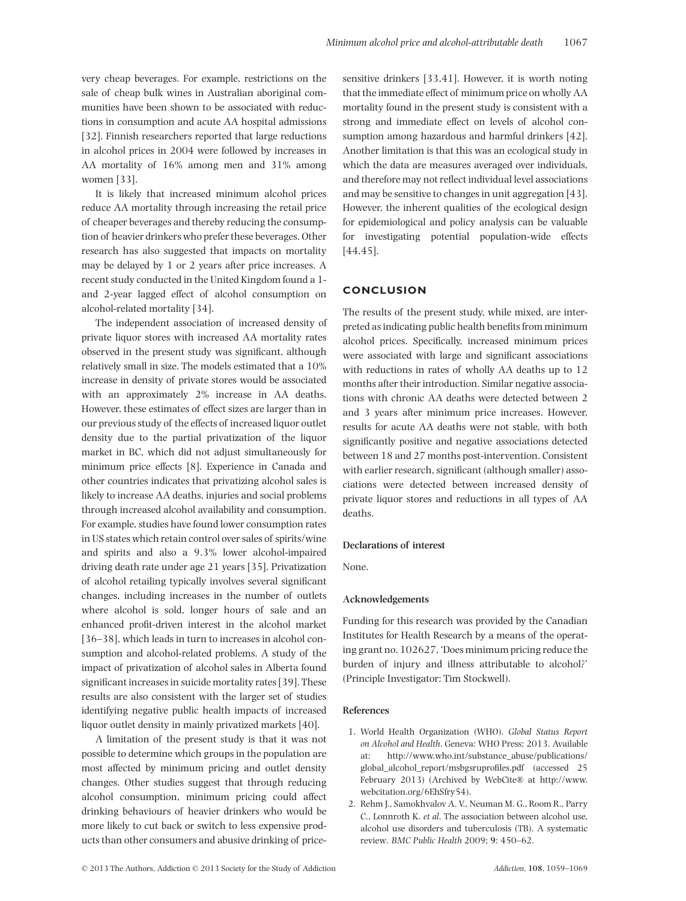very cheap beverages. For example, restrictions on the sale of cheap bulk wines in Australian aboriginal communities have been shown to be associated with reductions in consumption and acute AA hospital admissions [32]. Finnish researchers reported that large reductions in alcohol prices in 2004 were followed by increases in AA mortality of 16% among men and 31% among women [33].

It is likely that increased minimum alcohol prices reduce AA mortality through increasing the retail price of cheaper beverages and thereby reducing the consumption of heavier drinkers who prefer these beverages. Other research has also suggested that impacts on mortality may be delayed by 1 or 2 years after price increases. A recent study conducted in the United Kingdom found a 1 and 2-year lagged effect of alcohol consumption on alcohol-related mortality [34].

The independent association of increased density of private liquor stores with increased AA mortality rates observed in the present study was significant, although relatively small in size. The models estimated that a 10% increase in density of private stores would be associated with an approximately 2% increase in AA deaths. However, these estimates of effect sizes are larger than in our previous study of the effects of increased liquor outlet density due to the partial privatization of the liquor market in BC, which did not adjust simultaneously for minimum price effects [8]. Experience in Canada and other countries indicates that privatizing alcohol sales is likely to increase AA deaths, injuries and social problems through increased alcohol availability and consumption. For example, studies have found lower consumption rates in US states which retain control over sales of spirits/wine and spirits and also a 9.3% lower alcohol-impaired driving death rate under age 21 years [35]. Privatization of alcohol retailing typically involves several significant changes, including increases in the number of outlets where alcohol is sold, longer hours of sale and an enhanced profit-driven interest in the alcohol market [36–38], which leads in turn to increases in alcohol consumption and alcohol-related problems. A study of the impact of privatization of alcohol sales in Alberta found significant increases in suicide mortality rates [39]. These results are also consistent with the larger set of studies identifying negative public health impacts of increased liquor outlet density in mainly privatized markets [40].

A limitation of the present study is that it was not possible to determine which groups in the population are most affected by minimum pricing and outlet density changes. Other studies suggest that through reducing alcohol consumption, minimum pricing could affect drinking behaviours of heavier drinkers who would be more likely to cut back or switch to less expensive products than other consumers and abusive drinking of pricesensitive drinkers [33,41]. However, it is worth noting that the immediate effect of minimum price on wholly AA mortality found in the present study is consistent with a strong and immediate effect on levels of alcohol consumption among hazardous and harmful drinkers [42]. Another limitation is that this was an ecological study in which the data are measures averaged over individuals, and therefore may not reflect individual level associations and may be sensitive to changes in unit aggregation [43]. However, the inherent qualities of the ecological design for epidemiological and policy analysis can be valuable for investigating potential population-wide effects [44,45].

### **CONCLUSION**

The results of the present study, while mixed, are interpreted as indicating public health benefits from minimum alcohol prices. Specifically, increased minimum prices were associated with large and significant associations with reductions in rates of wholly AA deaths up to 12 months after their introduction. Similar negative associations with chronic AA deaths were detected between 2 and 3 years after minimum price increases. However, results for acute AA deaths were not stable, with both significantly positive and negative associations detected between 18 and 27 months post-intervention. Consistent with earlier research, significant (although smaller) associations were detected between increased density of private liquor stores and reductions in all types of AA deaths.

#### **Declarations of interest**

None.

#### **Acknowledgements**

Funding for this research was provided by the Canadian Institutes for Health Research by a means of the operating grant no. 102627, 'Does minimum pricing reduce the burden of injury and illness attributable to alcohol?' (Principle Investigator: Tim Stockwell).

#### **References**

- 1. World Health Organization (WHO). *Global Status Report on Alcohol and Health*. Geneva: WHO Press; 2013. Available at: [http://www.who.int/substance\\_abuse/publications/](http://www.who.int/substance_abuse/publications/global_alcohol_report/msbgsruprofiles.pdf) [global\\_alcohol\\_report/msbgsruprofiles.pdf](http://www.who.int/substance_abuse/publications/global_alcohol_report/msbgsruprofiles.pdf) (accessed 25 February 2013) (Archived by WebCite® at [http://www.](http://www.webcitation.org/6EhSfry54) [webcitation.org/6EhSfry54\)](http://www.webcitation.org/6EhSfry54).
- 2. Rehm J., Samokhvalov A. V., Neuman M. G., Room R., Parry C., Lonnroth K. *et al*. The association between alcohol use, alcohol use disorders and tuberculosis (TB). A systematic review. *BMC Public Health* 2009; **9**: 450–62.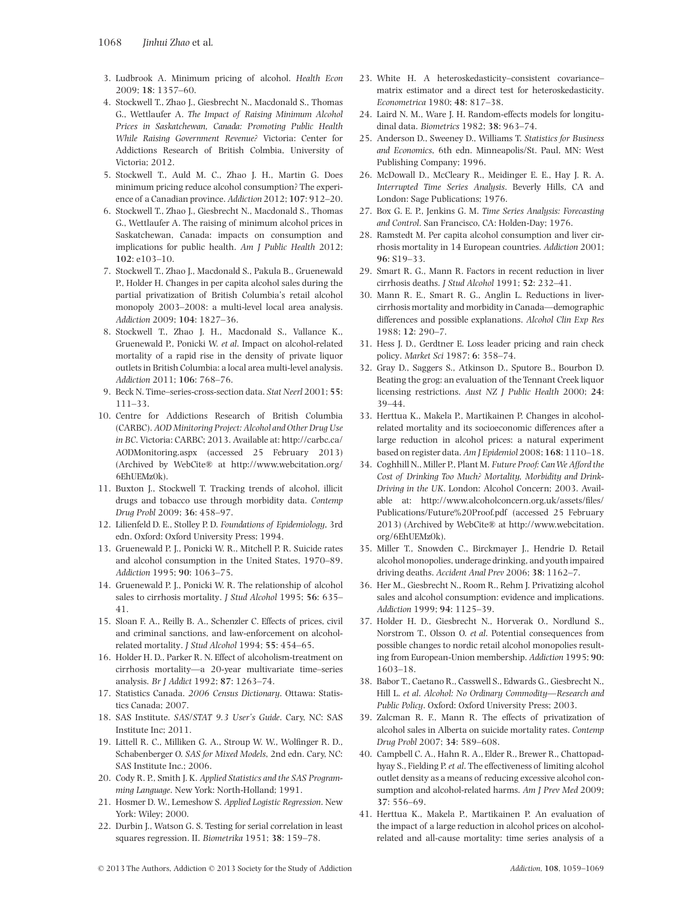- 3. Ludbrook A. Minimum pricing of alcohol. *Health Econ* 2009; **18**: 1357–60.
- 4. Stockwell T., Zhao J., Giesbrecht N., Macdonald S., Thomas G., Wettlaufer A. *The Impact of Raising Minimum Alcohol Prices in Saskatchewan, Canada: Promoting Public Health While Raising Government Revenue?* Victoria: Center for Addictions Research of British Colmbia, University of Victoria; 2012.
- 5. Stockwell T., Auld M. C., Zhao J. H., Martin G. Does minimum pricing reduce alcohol consumption? The experience of a Canadian province. *Addiction* 2012; **107**: 912–20.
- 6. Stockwell T., Zhao J., Giesbrecht N., Macdonald S., Thomas G., Wettlaufer A. The raising of minimum alcohol prices in Saskatchewan, Canada: impacts on consumption and implications for public health. *Am J Public Health* 2012; **102**: e103–10.
- 7. Stockwell T., Zhao J., Macdonald S., Pakula B., Gruenewald P., Holder H. Changes in per capita alcohol sales during the partial privatization of British Columbia's retail alcohol monopoly 2003–2008: a multi-level local area analysis. *Addiction* 2009; **104**: 1827–36.
- 8. Stockwell T., Zhao J. H., Macdonald S., Vallance K., Gruenewald P., Ponicki W. *et al*. Impact on alcohol-related mortality of a rapid rise in the density of private liquor outlets in British Columbia: a local area multi-level analysis. *Addiction* 2011; **106**: 768–76.
- 9. Beck N. Time–series-cross-section data. *Stat Neerl* 2001; **55**: 111–33.
- 10. Centre for Addictions Research of British Columbia (CARBC). *AOD Minitoring Project: Alcohol and Other Drug Use in BC*. Victoria: CARBC; 2013. Available at: [http://carbc.ca/](http://carbc.ca/AODMonitoring.aspx) [AODMonitoring.aspx](http://carbc.ca/AODMonitoring.aspx) (accessed 25 February 2013) (Archived by WebCite® at [http://www.webcitation.org/](http://www.webcitation.org/6EhUEMz0k) [6EhUEMz0k\)](http://www.webcitation.org/6EhUEMz0k).
- 11. Buxton J., Stockwell T. Tracking trends of alcohol, illicit drugs and tobacco use through morbidity data. *Contemp Drug Probl* 2009; **36**: 458–97.
- 12. Lilienfeld D. E., Stolley P. D. *Foundations of Epidemiology*, 3rd edn. Oxford: Oxford University Press; 1994.
- 13. Gruenewald P. J., Ponicki W. R., Mitchell P. R. Suicide rates and alcohol consumption in the United States, 1970–89. *Addiction* 1995; **90**: 1063–75.
- 14. Gruenewald P. J., Ponicki W. R. The relationship of alcohol sales to cirrhosis mortality. *J Stud Alcohol* 1995; **56**: 635– 41.
- 15. Sloan F. A., Reilly B. A., Schenzler C. Effects of prices, civil and criminal sanctions, and law-enforcement on alcoholrelated mortality. *J Stud Alcohol* 1994; **55**: 454–65.
- 16. Holder H. D., Parker R. N. Effect of alcoholism-treatment on cirrhosis mortality—a 20-year multivariate time–series analysis. *Br J Addict* 1992; **87**: 1263–74.
- 17. Statistics Canada. *2006 Census Dictionary*. Ottawa: Statistics Canada; 2007.
- 18. SAS Institute. *SAS/STAT 9.3 User's Guide*. Cary, NC: SAS Institute Inc; 2011.
- 19. Littell R. C., Milliken G. A., Stroup W. W., Wolfinger R. D., Schabenberger O. *SAS for Mixed Models*, 2nd edn. Cary, NC: SAS Institute Inc.; 2006.
- 20. Cody R. P., Smith J. K. *Applied Statistics and the SAS Programming Language*. New York: North-Holland; 1991.
- 21. Hosmer D. W., Lemeshow S. *Applied Logistic Regression*. New York: Wiley; 2000.
- 22. Durbin J., Watson G. S. Testing for serial correlation in least squares regression. II. *Biometrika* 1951; **38**: 159–78.
- 23. White H. A heteroskedasticity–consistent covariance– matrix estimator and a direct test for heteroskedasticity. *Econometrica* 1980; **48**: 817–38.
- 24. Laird N. M., Ware J. H. Random-effects models for longitudinal data. *Biometrics* 1982; **38**: 963–74.
- 25. Anderson D., Sweeney D., Williams T. *Statistics for Business and Economics*, 6th edn. Minneapolis/St. Paul, MN: West Publishing Company; 1996.
- 26. McDowall D., McCleary R., Meidinger E. E., Hay J. R. A. *Interrupted Time Series Analysis*. Beverly Hills, CA and London: Sage Publications; 1976.
- 27. Box G. E. P., Jenkins G. M. *Time Series Analysis: Forecasting and Control*. San Francisco, CA: Holden-Day; 1976.
- 28. Ramstedt M. Per capita alcohol consumption and liver cirrhosis mortality in 14 European countries. *Addiction* 2001; **96**: S19–33.
- 29. Smart R. G., Mann R. Factors in recent reduction in liver cirrhosis deaths. *J Stud Alcohol* 1991; **52**: 232–41.
- 30. Mann R. E., Smart R. G., Anglin L. Reductions in livercirrhosis mortality and morbidity in Canada—demographic differences and possible explanations. *Alcohol Clin Exp Res* 1988; **12**: 290–7.
- 31. Hess J. D., Gerdtner E. Loss leader pricing and rain check policy. *Market Sci* 1987; **6**: 358–74.
- 32. Gray D., Saggers S., Atkinson D., Sputore B., Bourbon D. Beating the grog: an evaluation of the Tennant Creek liquor licensing restrictions. *Aust NZ J Public Health* 2000; **24**: 39–44.
- 33. Herttua K., Makela P., Martikainen P. Changes in alcoholrelated mortality and its socioeconomic differences after a large reduction in alcohol prices: a natural experiment based on register data. *Am J Epidemiol* 2008; **168**: 1110–18.
- 34. Coghhill N., Miller P., Plant M. *Future Proof: CanWe Afford the Cost of Drinking Too Much? Mortality, Morbidity and Drink-Driving in the UK*. London: Alcohol Concern; 2003. Available at: [http://www.alcoholconcern.org.uk/assets/files/](http://www.alcoholconcern.org.uk/assets/files/Publications/Future%20Proof.pdf) [Publications/Future%20Proof.pdf](http://www.alcoholconcern.org.uk/assets/files/Publications/Future%20Proof.pdf) (accessed 25 February 2013) (Archived by WebCite® at [http://www.webcitation.](http://www.webcitation.org/6EhUEMz0k) [org/6EhUEMz0k\)](http://www.webcitation.org/6EhUEMz0k).
- 35. Miller T., Snowden C., Birckmayer J., Hendrie D. Retail alcohol monopolies, underage drinking, and youth impaired driving deaths. *Accident Anal Prev* 2006; **38**: 1162–7.
- 36. Her M., Giesbrecht N., Room R., Rehm J. Privatizing alcohol sales and alcohol consumption: evidence and implications. *Addiction* 1999; **94**: 1125–39.
- 37. Holder H. D., Giesbrecht N., Horverak O., Nordlund S., Norstrom T., Olsson O. *et al*. Potential consequences from possible changes to nordic retail alcohol monopolies resulting from European-Union membership. *Addiction* 1995; **90**: 1603–18.
- 38. Babor T., Caetano R., Casswell S., Edwards G., Giesbrecht N., Hill L. *et al*. *Alcohol: No Ordinary Commodity—Research and Public Policy*. Oxford: Oxford University Press; 2003.
- 39. Zalcman R. F., Mann R. The effects of privatization of alcohol sales in Alberta on suicide mortality rates. *Contemp Drug Probl* 2007; **34**: 589–608.
- 40. Campbell C. A., Hahn R. A., Elder R., Brewer R., Chattopadhyay S., Fielding P.*et al*. The effectiveness of limiting alcohol outlet density as a means of reducing excessive alcohol consumption and alcohol-related harms. *Am J Prev Med* 2009; **37**: 556–69.
- 41. Herttua K., Makela P., Martikainen P. An evaluation of the impact of a large reduction in alcohol prices on alcoholrelated and all-cause mortality: time series analysis of a